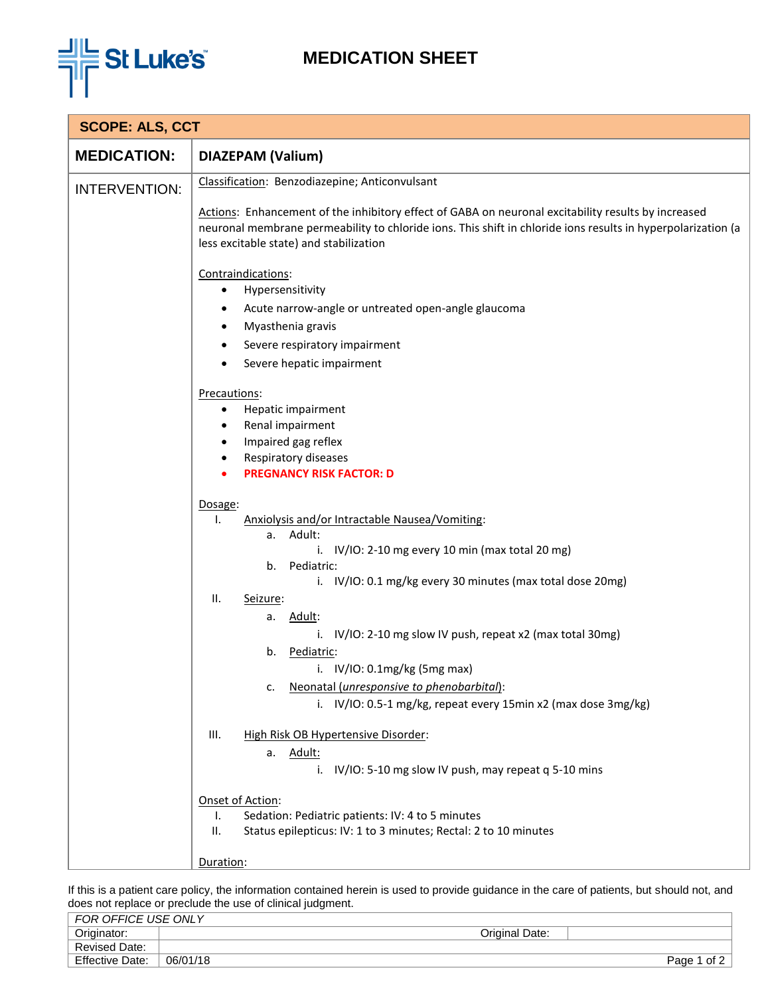

## **MEDICATION SHEET**

| <b>SCOPE: ALS, CCT</b> |                                                                                                                                                                                                                                                                |  |  |  |
|------------------------|----------------------------------------------------------------------------------------------------------------------------------------------------------------------------------------------------------------------------------------------------------------|--|--|--|
| <b>MEDICATION:</b>     | <b>DIAZEPAM (Valium)</b>                                                                                                                                                                                                                                       |  |  |  |
| <b>INTERVENTION:</b>   | Classification: Benzodiazepine; Anticonvulsant                                                                                                                                                                                                                 |  |  |  |
|                        | Actions: Enhancement of the inhibitory effect of GABA on neuronal excitability results by increased<br>neuronal membrane permeability to chloride ions. This shift in chloride ions results in hyperpolarization (a<br>less excitable state) and stabilization |  |  |  |
|                        | Contraindications:                                                                                                                                                                                                                                             |  |  |  |
|                        | Hypersensitivity                                                                                                                                                                                                                                               |  |  |  |
|                        | Acute narrow-angle or untreated open-angle glaucoma                                                                                                                                                                                                            |  |  |  |
|                        | Myasthenia gravis<br>$\bullet$                                                                                                                                                                                                                                 |  |  |  |
|                        | Severe respiratory impairment<br>$\bullet$                                                                                                                                                                                                                     |  |  |  |
|                        | Severe hepatic impairment<br>$\bullet$                                                                                                                                                                                                                         |  |  |  |
|                        | Precautions:                                                                                                                                                                                                                                                   |  |  |  |
|                        | Hepatic impairment<br>٠                                                                                                                                                                                                                                        |  |  |  |
|                        | Renal impairment                                                                                                                                                                                                                                               |  |  |  |
|                        | Impaired gag reflex<br>$\bullet$                                                                                                                                                                                                                               |  |  |  |
|                        | Respiratory diseases                                                                                                                                                                                                                                           |  |  |  |
|                        | <b>PREGNANCY RISK FACTOR: D</b>                                                                                                                                                                                                                                |  |  |  |
|                        | Dosage:                                                                                                                                                                                                                                                        |  |  |  |
|                        | Τ.<br>Anxiolysis and/or Intractable Nausea/Vomiting:                                                                                                                                                                                                           |  |  |  |
|                        | a. Adult:                                                                                                                                                                                                                                                      |  |  |  |
|                        | i. $IV/IO$ : 2-10 mg every 10 min (max total 20 mg)                                                                                                                                                                                                            |  |  |  |
|                        | Pediatric:<br>b.                                                                                                                                                                                                                                               |  |  |  |
|                        | i. IV/IO: 0.1 mg/kg every 30 minutes (max total dose 20mg)                                                                                                                                                                                                     |  |  |  |
|                        | ΙΙ.<br>Seizure:                                                                                                                                                                                                                                                |  |  |  |
|                        | a. Adult:<br>i. IV/IO: 2-10 mg slow IV push, repeat x2 (max total 30mg)                                                                                                                                                                                        |  |  |  |
|                        | Pediatric:<br>b.                                                                                                                                                                                                                                               |  |  |  |
|                        | i. $IV/IO: 0.1mg/kg (5mg max)$                                                                                                                                                                                                                                 |  |  |  |
|                        | Neonatal (unresponsive to phenobarbital):<br>c.                                                                                                                                                                                                                |  |  |  |
|                        | i. IV/IO: 0.5-1 mg/kg, repeat every 15min x2 (max dose 3mg/kg)                                                                                                                                                                                                 |  |  |  |
|                        |                                                                                                                                                                                                                                                                |  |  |  |
|                        | III.<br>High Risk OB Hypertensive Disorder:                                                                                                                                                                                                                    |  |  |  |
|                        | a. Adult:                                                                                                                                                                                                                                                      |  |  |  |
|                        | i. IV/IO: 5-10 mg slow IV push, may repeat q 5-10 mins                                                                                                                                                                                                         |  |  |  |
|                        | Onset of Action:                                                                                                                                                                                                                                               |  |  |  |
|                        | Sedation: Pediatric patients: IV: 4 to 5 minutes<br>Ι.                                                                                                                                                                                                         |  |  |  |
|                        | Status epilepticus: IV: 1 to 3 minutes; Rectal: 2 to 10 minutes<br>ΙΙ.                                                                                                                                                                                         |  |  |  |
|                        |                                                                                                                                                                                                                                                                |  |  |  |
|                        | Duration:                                                                                                                                                                                                                                                      |  |  |  |

If this is a patient care policy, the information contained herein is used to provide guidance in the care of patients, but should not, and does not replace or preclude the use of clinical judgment.

| FOR OFFICE USE ONLY    |          |                |                |
|------------------------|----------|----------------|----------------|
| Originator:            |          | Original Date: |                |
| <b>Revised Date:</b>   |          |                |                |
| <b>Effective Date:</b> | 06/01/18 |                | of 2<br>Page 1 |
|                        |          |                |                |